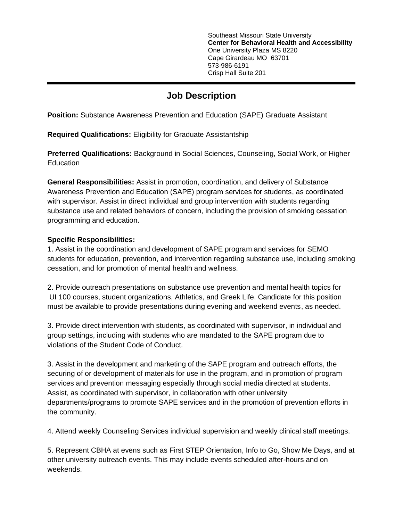Southeast Missouri State University **Center for Behavioral Health and Accessibility** One University Plaza MS 8220 Cape Girardeau MO 63701 573-986-6191 Crisp Hall Suite 201

## **Job Description**

**Position:** Substance Awareness Prevention and Education (SAPE) Graduate Assistant

**Required Qualifications:** Eligibility for Graduate Assistantship

**Preferred Qualifications:** Background in Social Sciences, Counseling, Social Work, or Higher **Education** 

**General Responsibilities:** Assist in promotion, coordination, and delivery of Substance Awareness Prevention and Education (SAPE) program services for students, as coordinated with supervisor. Assist in direct individual and group intervention with students regarding substance use and related behaviors of concern, including the provision of smoking cessation programming and education.

## **Specific Responsibilities:**

1. Assist in the coordination and development of SAPE program and services for SEMO students for education, prevention, and intervention regarding substance use, including smoking cessation, and for promotion of mental health and wellness.

2. Provide outreach presentations on substance use prevention and mental health topics for UI 100 courses, student organizations, Athletics, and Greek Life. Candidate for this position must be available to provide presentations during evening and weekend events, as needed.

3. Provide direct intervention with students, as coordinated with supervisor, in individual and group settings, including with students who are mandated to the SAPE program due to violations of the Student Code of Conduct.

3. Assist in the development and marketing of the SAPE program and outreach efforts, the securing of or development of materials for use in the program, and in promotion of program services and prevention messaging especially through social media directed at students. Assist, as coordinated with supervisor, in collaboration with other university departments/programs to promote SAPE services and in the promotion of prevention efforts in the community.

4. Attend weekly Counseling Services individual supervision and weekly clinical staff meetings.

5. Represent CBHA at evens such as First STEP Orientation, Info to Go, Show Me Days, and at other university outreach events. This may include events scheduled after-hours and on weekends.